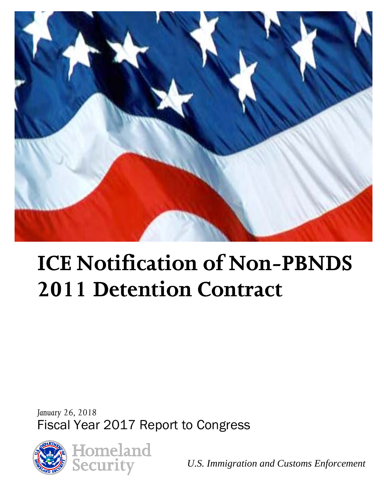

# **ICE Notification of Non-PBNDS 2011 Detention Contract**

*January 26, 2018* Fiscal Year 2017 Report to Congress



*U.S. Immigration and Customs Enforcement*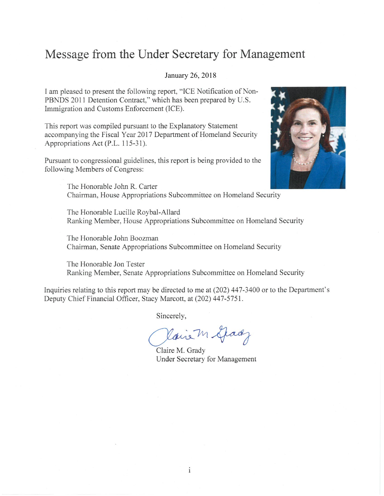#### Message from the Under Secretary for Management

#### January 26, 2018

I am pleased to present the following report, "ICE Notification of Non-PBNDS 2011 Detention Contract," which has been prepared by U.S. Immigration and Customs Enforcement (ICE).

This report was compiled pursuant to the Explanatory Statement accompanying the Fiscal Year 2017 Department of Homeland Security Appropriations Act (P.L. 115-31).

Pursuant to congressional guidelines, this report is being provided to the following Members of Congress:



The Honorable John R. Carter Chairman, House Appropriations Subcommittee on Homeland Security

The Honorable Lucille Roybal-Allard Ranking Member, House Appropriations Subcommittee on Homeland Security

The Honorable John Boozman Chairman, Senate Appropriations Subcommittee on Homeland Security

The Honorable Jon Tester Ranking Member, Senate Appropriations Subcommittee on Homeland Security

Inquiries relating to this report may be directed to me at (202) 447-3400 or to the Department's Deputy Chief Financial Officer, Stacy Marcott, at (202) 447-5751.

Sincerely,

Kairem Grady

Claire M. Grady **Under Secretary for Management**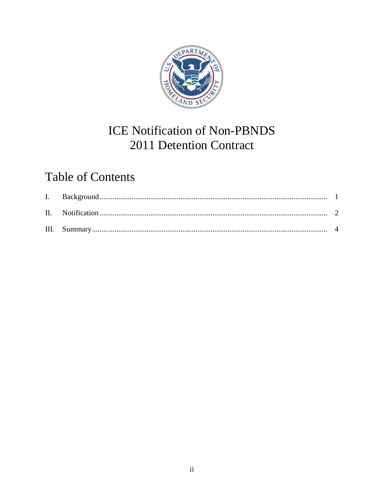

# **ICE Notification of Non-PBNDS** 2011 Detention Contract

# **Table of Contents**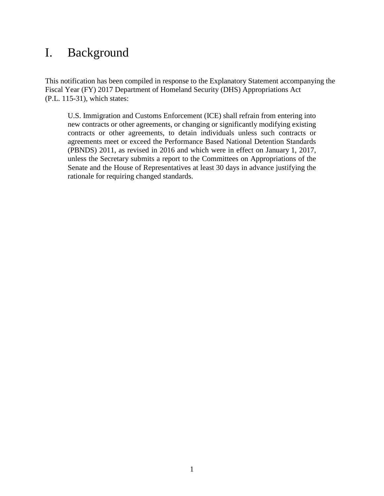#### <span id="page-3-0"></span>I. Background

This notification has been compiled in response to the Explanatory Statement accompanying the Fiscal Year (FY) 2017 Department of Homeland Security (DHS) Appropriations Act (P.L. 115-31), which states:

U.S. Immigration and Customs Enforcement (ICE) shall refrain from entering into new contracts or other agreements, or changing or significantly modifying existing contracts or other agreements, to detain individuals unless such contracts or agreements meet or exceed the Performance Based National Detention Standards (PBNDS) 2011, as revised in 2016 and which were in effect on January 1, 2017, unless the Secretary submits a report to the Committees on Appropriations of the Senate and the House of Representatives at least 30 days in advance justifying the rationale for requiring changed standards.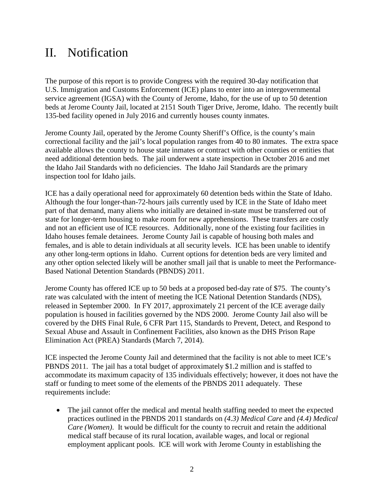### <span id="page-4-0"></span>II. Notification

The purpose of this report is to provide Congress with the required 30-day notification that U.S. Immigration and Customs Enforcement (ICE) plans to enter into an intergovernmental service agreement (IGSA) with the County of Jerome, Idaho, for the use of up to 50 detention beds at Jerome County Jail, located at 2151 South Tiger Drive, Jerome, Idaho. The recently built 135-bed facility opened in July 2016 and currently houses county inmates.

Jerome County Jail, operated by the Jerome County Sheriff's Office, is the county's main correctional facility and the jail's local population ranges from 40 to 80 inmates. The extra space available allows the county to house state inmates or contract with other counties or entities that need additional detention beds. The jail underwent a state inspection in October 2016 and met the Idaho Jail Standards with no deficiencies. The Idaho Jail Standards are the primary inspection tool for Idaho jails.

ICE has a daily operational need for approximately 60 detention beds within the State of Idaho. Although the four longer-than-72-hours jails currently used by ICE in the State of Idaho meet part of that demand, many aliens who initially are detained in-state must be transferred out of state for longer-term housing to make room for new apprehensions. These transfers are costly and not an efficient use of ICE resources. Additionally, none of the existing four facilities in Idaho houses female detainees. Jerome County Jail is capable of housing both males and females, and is able to detain individuals at all security levels. ICE has been unable to identify any other long-term options in Idaho. Current options for detention beds are very limited and any other option selected likely will be another small jail that is unable to meet the Performance-Based National Detention Standards (PBNDS) 2011.

Jerome County has offered ICE up to 50 beds at a proposed bed-day rate of \$75. The county's rate was calculated with the intent of meeting the ICE National Detention Standards (NDS), released in September 2000. In FY 2017, approximately 21 percent of the ICE average daily population is housed in facilities governed by the NDS 2000. Jerome County Jail also will be covered by the DHS Final Rule, 6 CFR Part 115, Standards to Prevent, Detect, and Respond to Sexual Abuse and Assault in Confinement Facilities, also known as the DHS Prison Rape Elimination Act (PREA) Standards (March 7, 2014).

ICE inspected the Jerome County Jail and determined that the facility is not able to meet ICE's PBNDS 2011. The jail has a total budget of approximately \$1.2 million and is staffed to accommodate its maximum capacity of 135 individuals effectively; however, it does not have the staff or funding to meet some of the elements of the PBNDS 2011 adequately. These requirements include:

• The jail cannot offer the medical and mental health staffing needed to meet the expected practices outlined in the PBNDS 2011 standards on *(4.3) Medical Care* and *(4.4) Medical Care (Women)*. It would be difficult for the county to recruit and retain the additional medical staff because of its rural location, available wages, and local or regional employment applicant pools. ICE will work with Jerome County in establishing the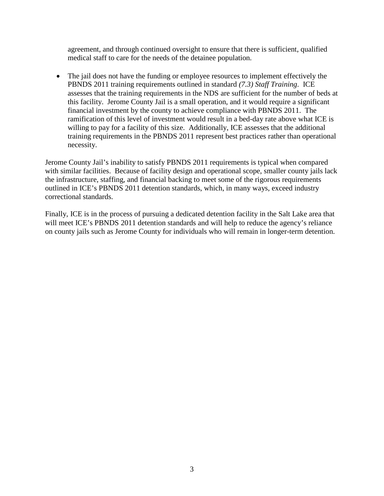agreement, and through continued oversight to ensure that there is sufficient, qualified medical staff to care for the needs of the detainee population.

• The jail does not have the funding or employee resources to implement effectively the PBNDS 2011 training requirements outlined in standard *(7.3) Staff Training*. ICE assesses that the training requirements in the NDS are sufficient for the number of beds at this facility. Jerome County Jail is a small operation, and it would require a significant financial investment by the county to achieve compliance with PBNDS 2011. The ramification of this level of investment would result in a bed-day rate above what ICE is willing to pay for a facility of this size. Additionally, ICE assesses that the additional training requirements in the PBNDS 2011 represent best practices rather than operational necessity.

Jerome County Jail's inability to satisfy PBNDS 2011 requirements is typical when compared with similar facilities. Because of facility design and operational scope, smaller county jails lack the infrastructure, staffing, and financial backing to meet some of the rigorous requirements outlined in ICE's PBNDS 2011 detention standards, which, in many ways, exceed industry correctional standards.

Finally, ICE is in the process of pursuing a dedicated detention facility in the Salt Lake area that will meet ICE's PBNDS 2011 detention standards and will help to reduce the agency's reliance on county jails such as Jerome County for individuals who will remain in longer-term detention.